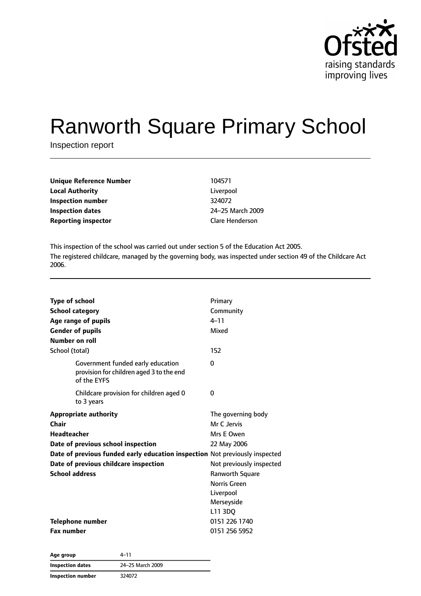

# Ranworth Square Primary School

Inspection report

| 104571                 |
|------------------------|
| Liverpool              |
| 324072                 |
| 24-25 March 2009       |
| <b>Clare Henderson</b> |
|                        |

This inspection of the school was carried out under section 5 of the Education Act 2005. The registered childcare, managed by the governing body, was inspected under section 49 of the Childcare Act 2006.

| <b>Type of school</b><br><b>School category</b><br>Age range of pupils<br><b>Gender of pupils</b><br>Number on roll                                                                                                                                | Primary<br>Community<br>$4 - 11$<br>Mixed                                                                                                                                  |
|----------------------------------------------------------------------------------------------------------------------------------------------------------------------------------------------------------------------------------------------------|----------------------------------------------------------------------------------------------------------------------------------------------------------------------------|
| School (total)                                                                                                                                                                                                                                     | 152                                                                                                                                                                        |
| Government funded early education<br>provision for children aged 3 to the end<br>of the EYFS                                                                                                                                                       | $\Omega$                                                                                                                                                                   |
| Childcare provision for children aged 0<br>to 3 years                                                                                                                                                                                              | 0                                                                                                                                                                          |
| <b>Appropriate authority</b><br>Chair<br><b>Headteacher</b><br>Date of previous school inspection<br>Date of previous funded early education inspection Not previously inspected<br>Date of previous childcare inspection<br><b>School address</b> | The governing body<br>Mr C Jervis<br>Mrs E Owen<br>22 May 2006<br>Not previously inspected<br><b>Ranworth Square</b><br>Norris Green<br>Liverpool<br>Merseyside<br>L11 3DQ |
| Telephone number<br><b>Fax number</b>                                                                                                                                                                                                              | 0151 226 1740<br>0151 256 5952                                                                                                                                             |

| Age group         | 4–11             |
|-------------------|------------------|
| Inspection dates  | 24-25 March 2009 |
| Inspection number | 324072           |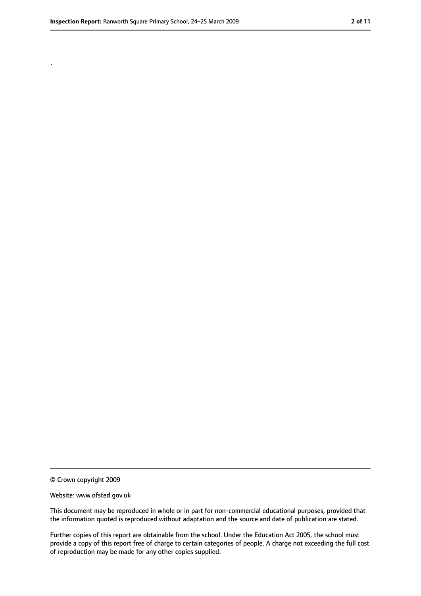.

<sup>©</sup> Crown copyright 2009

Website: www.ofsted.gov.uk

This document may be reproduced in whole or in part for non-commercial educational purposes, provided that the information quoted is reproduced without adaptation and the source and date of publication are stated.

Further copies of this report are obtainable from the school. Under the Education Act 2005, the school must provide a copy of this report free of charge to certain categories of people. A charge not exceeding the full cost of reproduction may be made for any other copies supplied.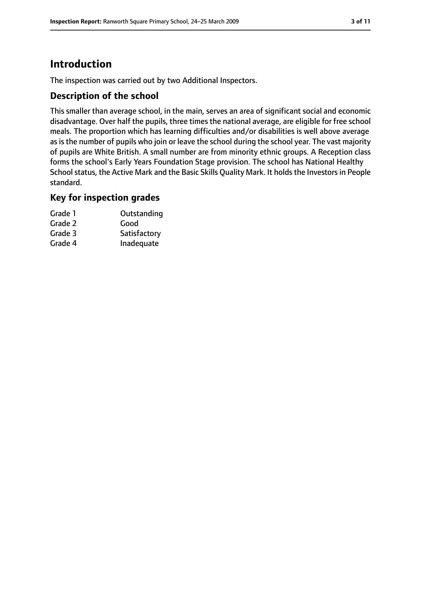### **Introduction**

The inspection was carried out by two Additional Inspectors.

#### **Description of the school**

This smaller than average school, in the main, serves an area of significant social and economic disadvantage. Over half the pupils, three times the national average, are eligible for free school meals. The proportion which has learning difficulties and/or disabilities is well above average as is the number of pupils who join or leave the school during the school year. The vast majority of pupils are White British. A small number are from minority ethnic groups. A Reception class forms the school's Early Years Foundation Stage provision. The school has National Healthy School status, the Active Mark and the Basic Skills Quality Mark. It holds the Investors in People standard.

#### **Key for inspection grades**

| Grade 1 | Outstanding  |
|---------|--------------|
| Grade 2 | Good         |
| Grade 3 | Satisfactory |
| Grade 4 | Inadequate   |
|         |              |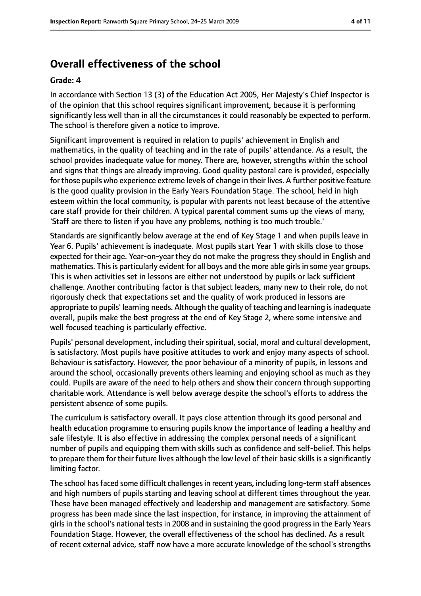### **Overall effectiveness of the school**

#### **Grade: 4**

In accordance with Section 13 (3) of the Education Act 2005, Her Majesty's Chief Inspector is of the opinion that this school requires significant improvement, because it is performing significantly less well than in all the circumstances it could reasonably be expected to perform. The school is therefore given a notice to improve.

Significant improvement is required in relation to pupils' achievement in English and mathematics, in the quality of teaching and in the rate of pupils' attendance. As a result, the school provides inadequate value for money. There are, however, strengths within the school and signs that things are already improving. Good quality pastoral care is provided, especially for those pupils who experience extreme levels of change in their lives. A further positive feature is the good quality provision in the Early Years Foundation Stage. The school, held in high esteem within the local community, is popular with parents not least because of the attentive care staff provide for their children. A typical parental comment sums up the views of many, 'Staff are there to listen if you have any problems, nothing is too much trouble.'

Standards are significantly below average at the end of Key Stage 1 and when pupils leave in Year 6. Pupils' achievement is inadequate. Most pupils start Year 1 with skills close to those expected for their age. Year-on-year they do not make the progress they should in English and mathematics. This is particularly evident for all boys and the more able girls in some year groups. This is when activities set in lessons are either not understood by pupils or lack sufficient challenge. Another contributing factor is that subject leaders, many new to their role, do not rigorously check that expectations set and the quality of work produced in lessons are appropriate to pupils' learning needs. Although the quality of teaching and learning isinadequate overall, pupils make the best progress at the end of Key Stage 2, where some intensive and well focused teaching is particularly effective.

Pupils' personal development, including their spiritual, social, moral and cultural development, is satisfactory. Most pupils have positive attitudes to work and enjoy many aspects of school. Behaviour is satisfactory. However, the poor behaviour of a minority of pupils, in lessons and around the school, occasionally prevents others learning and enjoying school as much as they could. Pupils are aware of the need to help others and show their concern through supporting charitable work. Attendance is well below average despite the school's efforts to address the persistent absence of some pupils.

The curriculum is satisfactory overall. It pays close attention through its good personal and health education programme to ensuring pupils know the importance of leading a healthy and safe lifestyle. It is also effective in addressing the complex personal needs of a significant number of pupils and equipping them with skills such as confidence and self-belief. This helps to prepare them for their future lives although the low level of their basic skills is a significantly limiting factor.

The school has faced some difficult challenges in recent years, including long-term staff absences and high numbers of pupils starting and leaving school at different times throughout the year. These have been managed effectively and leadership and management are satisfactory. Some progress has been made since the last inspection, for instance, in improving the attainment of girls in the school's national tests in 2008 and in sustaining the good progress in the Early Years Foundation Stage. However, the overall effectiveness of the school has declined. As a result of recent external advice, staff now have a more accurate knowledge of the school's strengths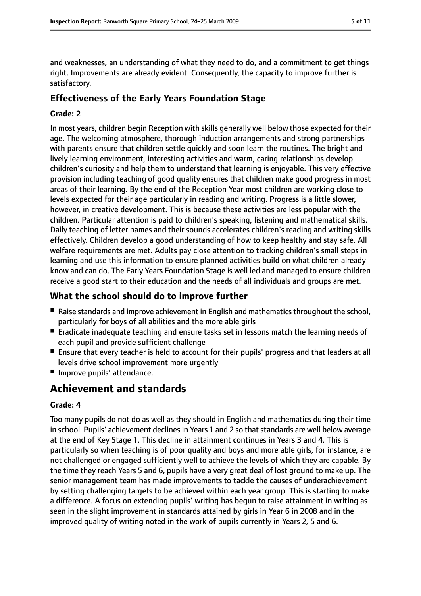and weaknesses, an understanding of what they need to do, and a commitment to get things right. Improvements are already evident. Consequently, the capacity to improve further is satisfactory.

### **Effectiveness of the Early Years Foundation Stage**

#### **Grade: 2**

In most years, children begin Reception with skills generally well below those expected for their age. The welcoming atmosphere, thorough induction arrangements and strong partnerships with parents ensure that children settle quickly and soon learn the routines. The bright and lively learning environment, interesting activities and warm, caring relationships develop children's curiosity and help them to understand that learning is enjoyable. This very effective provision including teaching of good quality ensures that children make good progress in most areas of their learning. By the end of the Reception Year most children are working close to levels expected for their age particularly in reading and writing. Progress is a little slower, however, in creative development. This is because these activities are less popular with the children. Particular attention is paid to children's speaking, listening and mathematical skills. Daily teaching of letter names and their sounds accelerates children's reading and writing skills effectively. Children develop a good understanding of how to keep healthy and stay safe. All welfare requirements are met. Adults pay close attention to tracking children's small steps in learning and use this information to ensure planned activities build on what children already know and can do. The Early Years Foundation Stage is well led and managed to ensure children receive a good start to their education and the needs of all individuals and groups are met.

#### **What the school should do to improve further**

- Raise standards and improve achievement in English and mathematics throughout the school, particularly for boys of all abilities and the more able girls
- Eradicate inadequate teaching and ensure tasks set in lessons match the learning needs of each pupil and provide sufficient challenge
- Ensure that every teacher is held to account for their pupils' progress and that leaders at all levels drive school improvement more urgently
- Improve pupils' attendance.

### **Achievement and standards**

#### **Grade: 4**

Too many pupils do not do as well as they should in English and mathematics during their time in school. Pupils' achievement declines in Years 1 and 2 so that standards are well below average at the end of Key Stage 1. This decline in attainment continues in Years 3 and 4. This is particularly so when teaching is of poor quality and boys and more able girls, for instance, are not challenged or engaged sufficiently well to achieve the levels of which they are capable. By the time they reach Years 5 and 6, pupils have a very great deal of lost ground to make up. The senior management team has made improvements to tackle the causes of underachievement by setting challenging targets to be achieved within each year group. This is starting to make a difference. A focus on extending pupils' writing has begun to raise attainment in writing as seen in the slight improvement in standards attained by girls in Year 6 in 2008 and in the improved quality of writing noted in the work of pupils currently in Years 2, 5 and 6.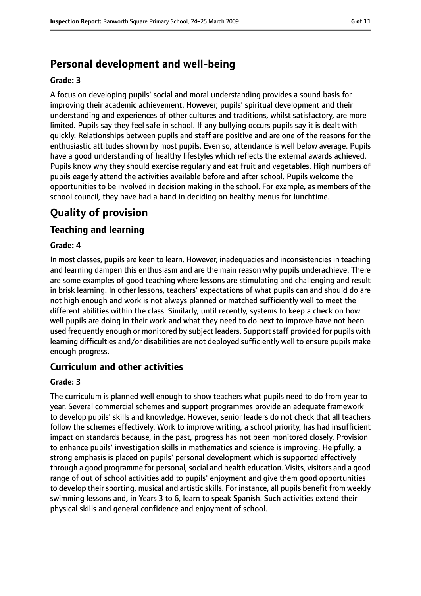### **Personal development and well-being**

#### **Grade: 3**

A focus on developing pupils' social and moral understanding provides a sound basis for improving their academic achievement. However, pupils' spiritual development and their understanding and experiences of other cultures and traditions, whilst satisfactory, are more limited. Pupils say they feel safe in school. If any bullying occurs pupils say it is dealt with quickly. Relationships between pupils and staff are positive and are one of the reasons for the enthusiastic attitudes shown by most pupils. Even so, attendance is well below average. Pupils have a good understanding of healthy lifestyles which reflects the external awards achieved. Pupils know why they should exercise regularly and eat fruit and vegetables. High numbers of pupils eagerly attend the activities available before and after school. Pupils welcome the opportunities to be involved in decision making in the school. For example, as members of the school council, they have had a hand in deciding on healthy menus for lunchtime.

### **Quality of provision**

#### **Teaching and learning**

#### **Grade: 4**

In most classes, pupils are keen to learn. However, inadequacies and inconsistencies in teaching and learning dampen this enthusiasm and are the main reason why pupils underachieve. There are some examples of good teaching where lessons are stimulating and challenging and result in brisk learning. In other lessons, teachers' expectations of what pupils can and should do are not high enough and work is not always planned or matched sufficiently well to meet the different abilities within the class. Similarly, until recently, systems to keep a check on how well pupils are doing in their work and what they need to do next to improve have not been used frequently enough or monitored by subject leaders. Support staff provided for pupils with learning difficulties and/or disabilities are not deployed sufficiently well to ensure pupils make enough progress.

#### **Curriculum and other activities**

#### **Grade: 3**

The curriculum is planned well enough to show teachers what pupils need to do from year to year. Several commercial schemes and support programmes provide an adequate framework to develop pupils' skills and knowledge. However, senior leaders do not check that all teachers follow the schemes effectively. Work to improve writing, a school priority, has had insufficient impact on standards because, in the past, progress has not been monitored closely. Provision to enhance pupils' investigation skills in mathematics and science is improving. Helpfully, a strong emphasis is placed on pupils' personal development which is supported effectively through a good programme for personal, social and health education. Visits, visitors and a good range of out of school activities add to pupils' enjoyment and give them good opportunities to develop their sporting, musical and artistic skills. For instance, all pupils benefit from weekly swimming lessons and, in Years 3 to 6, learn to speak Spanish. Such activities extend their physical skills and general confidence and enjoyment of school.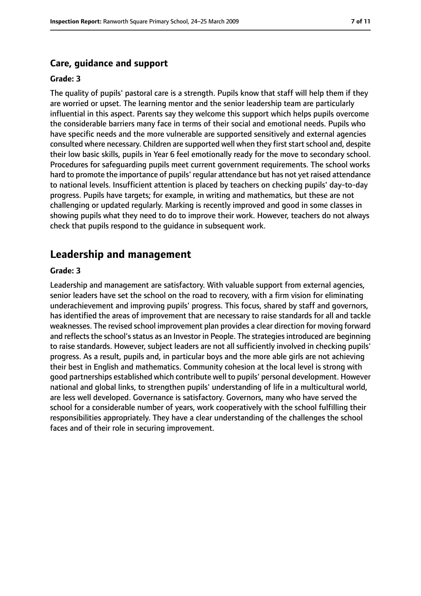#### **Care, guidance and support**

#### **Grade: 3**

The quality of pupils' pastoral care is a strength. Pupils know that staff will help them if they are worried or upset. The learning mentor and the senior leadership team are particularly influential in this aspect. Parents say they welcome this support which helps pupils overcome the considerable barriers many face in terms of their social and emotional needs. Pupils who have specific needs and the more vulnerable are supported sensitively and external agencies consulted where necessary. Children are supported well when they first start school and, despite their low basic skills, pupils in Year 6 feel emotionally ready for the move to secondary school. Procedures for safeguarding pupils meet current government requirements. The school works hard to promote the importance of pupils' regular attendance but has not yet raised attendance to national levels. Insufficient attention is placed by teachers on checking pupils' day-to-day progress. Pupils have targets; for example, in writing and mathematics, but these are not challenging or updated regularly. Marking is recently improved and good in some classes in showing pupils what they need to do to improve their work. However, teachers do not always check that pupils respond to the guidance in subsequent work.

#### **Leadership and management**

#### **Grade: 3**

Leadership and management are satisfactory. With valuable support from external agencies, senior leaders have set the school on the road to recovery, with a firm vision for eliminating underachievement and improving pupils' progress. This focus, shared by staff and governors, has identified the areas of improvement that are necessary to raise standards for all and tackle weaknesses. The revised school improvement plan provides a clear direction for moving forward and reflects the school's status as an Investor in People. The strategies introduced are beginning to raise standards. However, subject leaders are not all sufficiently involved in checking pupils' progress. As a result, pupils and, in particular boys and the more able girls are not achieving their best in English and mathematics. Community cohesion at the local level is strong with good partnerships established which contribute well to pupils' personal development. However national and global links, to strengthen pupils' understanding of life in a multicultural world, are less well developed. Governance is satisfactory. Governors, many who have served the school for a considerable number of years, work cooperatively with the school fulfilling their responsibilities appropriately. They have a clear understanding of the challenges the school faces and of their role in securing improvement.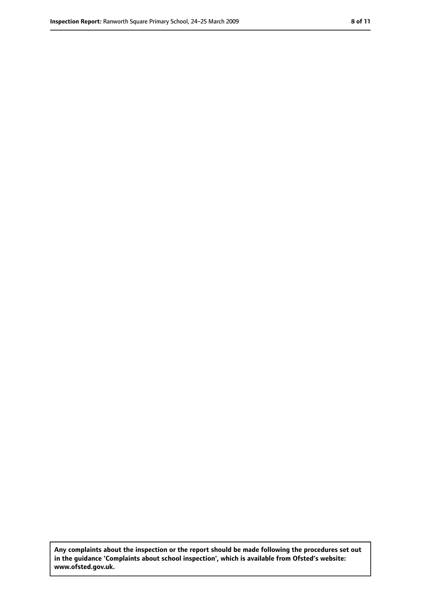**Any complaints about the inspection or the report should be made following the procedures set out in the guidance 'Complaints about school inspection', which is available from Ofsted's website: www.ofsted.gov.uk.**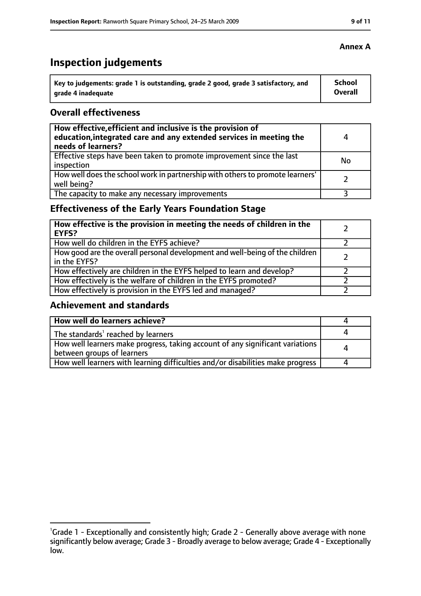## **Inspection judgements**

| Key to judgements: grade 1 is outstanding, grade 2 good, grade 3 satisfactory, and | School  |
|------------------------------------------------------------------------------------|---------|
| arade 4 inadequate                                                                 | Overall |

#### **Overall effectiveness**

| How effective, efficient and inclusive is the provision of<br>education, integrated care and any extended services in meeting the<br>needs of learners? | 4  |
|---------------------------------------------------------------------------------------------------------------------------------------------------------|----|
| Effective steps have been taken to promote improvement since the last<br>inspection                                                                     | No |
| How well does the school work in partnership with others to promote learners'<br>well being?                                                            |    |
| The capacity to make any necessary improvements                                                                                                         |    |

### **Effectiveness of the Early Years Foundation Stage**

| How effective is the provision in meeting the needs of children in the<br>l EYFS?              |  |
|------------------------------------------------------------------------------------------------|--|
| How well do children in the EYFS achieve?                                                      |  |
| How good are the overall personal development and well-being of the children<br>I in the EYFS? |  |
| How effectively are children in the EYFS helped to learn and develop?                          |  |
| How effectively is the welfare of children in the EYFS promoted?                               |  |
| How effectively is provision in the EYFS led and managed?                                      |  |

#### **Achievement and standards**

| How well do learners achieve?                                                                               |  |
|-------------------------------------------------------------------------------------------------------------|--|
| The standards <sup>1</sup> reached by learners                                                              |  |
| How well learners make progress, taking account of any significant variations<br>between groups of learners |  |
| How well learners with learning difficulties and/or disabilities make progress                              |  |

<sup>&</sup>lt;sup>1</sup>Grade 1 - Exceptionally and consistently high; Grade 2 - Generally above average with none significantly below average; Grade 3 - Broadly average to below average; Grade 4 - Exceptionally low.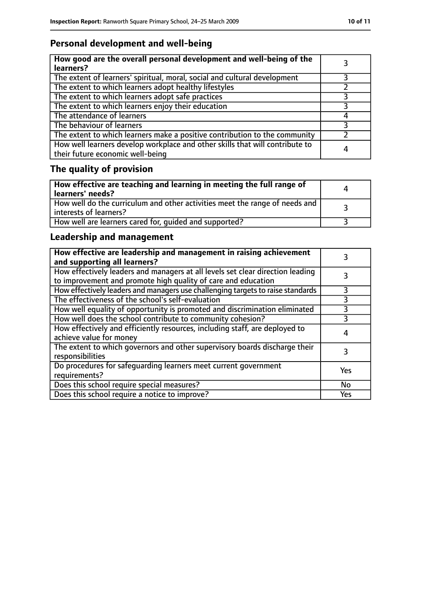### **Personal development and well-being**

| How good are the overall personal development and well-being of the<br>learners?                                 |   |
|------------------------------------------------------------------------------------------------------------------|---|
| The extent of learners' spiritual, moral, social and cultural development                                        |   |
| The extent to which learners adopt healthy lifestyles                                                            |   |
| The extent to which learners adopt safe practices                                                                |   |
| The extent to which learners enjoy their education                                                               | २ |
| The attendance of learners                                                                                       |   |
| The behaviour of learners                                                                                        |   |
| The extent to which learners make a positive contribution to the community                                       |   |
| How well learners develop workplace and other skills that will contribute to<br>their future economic well-being | 4 |

### **The quality of provision**

| How effective are teaching and learning in meeting the full range of<br>learners' needs?              | Δ |
|-------------------------------------------------------------------------------------------------------|---|
| How well do the curriculum and other activities meet the range of needs and<br>interests of learners? |   |
| How well are learners cared for, quided and supported?                                                |   |

### **Leadership and management**

| How effective are leadership and management in raising achievement<br>and supporting all learners?                                              |     |
|-------------------------------------------------------------------------------------------------------------------------------------------------|-----|
| How effectively leaders and managers at all levels set clear direction leading<br>to improvement and promote high quality of care and education |     |
| How effectively leaders and managers use challenging targets to raise standards                                                                 |     |
| The effectiveness of the school's self-evaluation                                                                                               | 3   |
| How well equality of opportunity is promoted and discrimination eliminated                                                                      | 3   |
| How well does the school contribute to community cohesion?                                                                                      | 3   |
| How effectively and efficiently resources, including staff, are deployed to<br>achieve value for money                                          |     |
| The extent to which governors and other supervisory boards discharge their<br>responsibilities                                                  |     |
| Do procedures for safeguarding learners meet current government<br>requirements?                                                                | Yes |
| Does this school require special measures?                                                                                                      | No  |
| Does this school require a notice to improve?                                                                                                   | Yes |